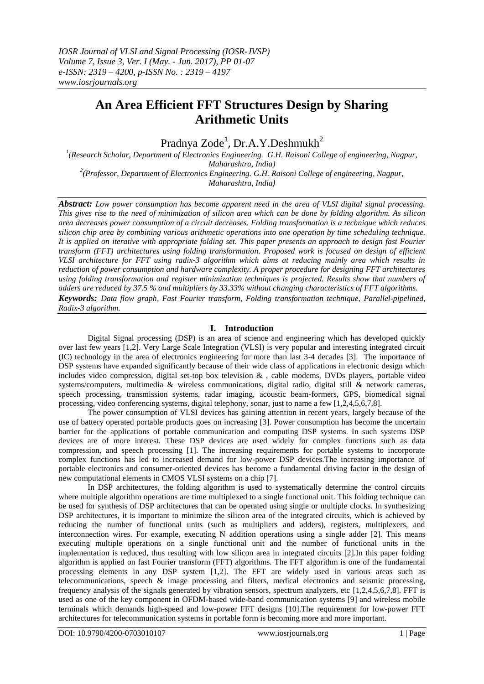# **An Area Efficient FFT Structures Design by Sharing Arithmetic Units**

Pradnya Zode<sup>1</sup>, Dr.A.Y.Deshmukh<sup>2</sup>

*1 (Research Scholar, Department of Electronics Engineering. G.H. Raisoni College of engineering, Nagpur, Maharashtra, India) 2 (Professor, Department of Electronics Engineering. G.H. Raisoni College of engineering, Nagpur, Maharashtra, India)*

*Abstract: Low power consumption has become apparent need in the area of VLSI digital signal processing. This gives rise to the need of minimization of silicon area which can be done by folding algorithm. As silicon area decreases power consumption of a circuit decreases. Folding transformation is a technique which reduces silicon chip area by combining various arithmetic operations into one operation by time scheduling technique. It is applied on iterative with appropriate folding set. This paper presents an approach to design fast Fourier transform (FFT) architectures using folding transformation. Proposed work is focused on design of efficient VLSI architecture for FFT using radix-3 algorithm which aims at reducing mainly area which results in reduction of power consumption and hardware complexity. A proper procedure for designing FFT architectures using folding transformation and register minimization techniques is projected. Results show that numbers of adders are reduced by 37.5 % and multipliers by 33.33% without changing characteristics of FFT algorithms. Keywords: Data flow graph, Fast Fourier transform, Folding transformation technique, Parallel-pipelined, Radix-3 algorithm.*

# **I. Introduction**

Digital Signal processing (DSP) is an area of science and engineering which has developed quickly over last few years [1,2]. Very Large Scale Integration (VLSI) is very popular and interesting integrated circuit (IC) technology in the area of electronics engineering for more than last 3-4 decades [3]. The importance of DSP systems have expanded significantly because of their wide class of applications in electronic design which includes video compression, digital set-top box television  $\&$ , cable modems, DVDs players, portable video systems/computers, multimedia & wireless communications, digital radio, digital still & network cameras, speech processing, transmission systems, radar imaging, acoustic beam-formers, GPS, biomedical signal processing, video conferencing systems, digital telephony, sonar, just to name a few [1,2,4,5,6,7,8].

The power consumption of VLSI devices has gaining attention in recent years, largely because of the use of battery operated portable products goes on increasing [3]. Power consumption has become the uncertain barrier for the applications of portable communication and computing DSP systems. In such systems DSP devices are of more interest. These DSP devices are used widely for complex functions such as data compression, and speech processing [1]. The increasing requirements for portable systems to incorporate complex functions has led to increased demand for low-power DSP devices.The increasing importance of portable electronics and consumer-oriented devices has become a fundamental driving factor in the design of new computational elements in CMOS VLSI systems on a chip [7].

In DSP architectures, the folding algorithm is used to systematically determine the control circuits where multiple algorithm operations are time multiplexed to a single functional unit. This folding technique can be used for synthesis of DSP architectures that can be operated using single or multiple clocks. In synthesizing DSP architectures, it is important to minimize the silicon area of the integrated circuits, which is achieved by reducing the number of functional units (such as multipliers and adders), registers, multiplexers, and interconnection wires. For example, executing N addition operations using a single adder [2]. This means executing multiple operations on a single functional unit and the number of functional units in the implementation is reduced, thus resulting with low silicon area in integrated circuits [2].In this paper folding algorithm is applied on fast Fourier transform (FFT) algorithms. The FFT algorithm is one of the fundamental processing elements in any DSP system [1,2]. The FFT are widely used in various areas such as telecommunications, speech & image processing and filters, medical electronics and seismic processing, frequency analysis of the signals generated by vibration sensors, spectrum analyzers, etc [1,2,4,5,6,7,8]. FFT is used as one of the key component in OFDM-based wide-band communication systems [9] and wireless mobile terminals which demands high-speed and low-power FFT designs [10].The requirement for low-power FFT architectures for telecommunication systems in portable form is becoming more and more important.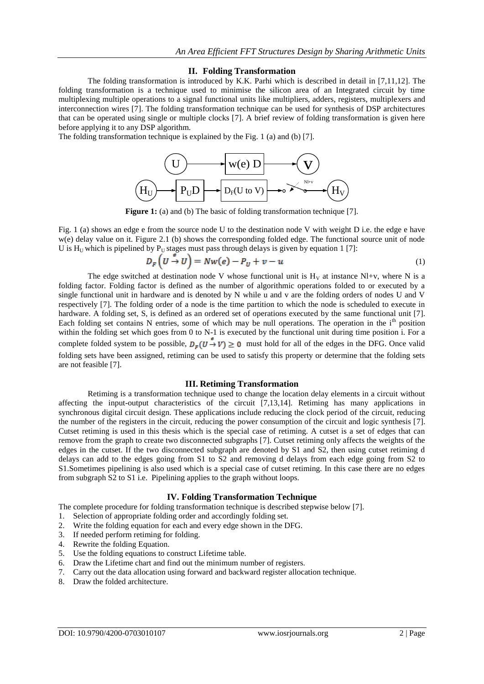### **II. Folding Transformation**

The folding transformation is introduced by K.K. Parhi which is described in detail in [7,11,12]. The folding transformation is a technique used to minimise the silicon area of an Integrated circuit by time multiplexing multiple operations to a signal functional units like multipliers, adders, registers, multiplexers and interconnection wires [7]. The folding transformation technique can be used for synthesis of DSP architectures that can be operated using single or multiple clocks [7]. A brief review of folding transformation is given here before applying it to any DSP algorithm.

The folding transformation technique is explained by the Fig. 1 (a) and (b) [7].



**Figure 1:** (a) and (b) The basic of folding transformation technique [7].

Fig. 1 (a) shows an edge e from the source node U to the destination node V with weight D i.e. the edge e have w(e) delay value on it. Figure 2.1 (b) shows the corresponding folded edge. The functional source unit of node U is  $H_U$  which is pipelined by  $P_U$  stages must pass through delays is given by equation 1 [7]:

$$
D_F\left(U \stackrel{v}{\to} U\right) = Nw(e) - P_U + v - u \tag{1}
$$

The edge switched at destination node V whose functional unit is  $H<sub>V</sub>$  at instance Nl+v, where N is a folding factor. Folding factor is defined as the number of algorithmic operations folded to or executed by a single functional unit in hardware and is denoted by N while u and v are the folding orders of nodes U and V respectively [7]. The folding order of a node is the time partition to which the node is scheduled to execute in hardware. A folding set, S, is defined as an ordered set of operations executed by the same functional unit [7]. Each folding set contains N entries, some of which may be null operations. The operation in the  $i<sup>th</sup>$  position within the folding set which goes from 0 to N-1 is executed by the functional unit during time position i. For a complete folded system to be possible,  $D_F(U \stackrel{\circ}{\rightarrow} V) \ge 0$  must hold for all of the edges in the DFG. Once valid folding sets have been assigned, retiming can be used to satisfy this property or determine that the folding sets are not feasible [7].

#### **III. Retiming Transformation**

Retiming is a transformation technique used to change the location delay elements in a circuit without affecting the input-output characteristics of the circuit [7,13,14]. Retiming has many applications in synchronous digital circuit design. These applications include reducing the clock period of the circuit, reducing the number of the registers in the circuit, reducing the power consumption of the circuit and logic synthesis [7]. Cutset retiming is used in this thesis which is the special case of retiming. A cutset is a set of edges that can remove from the graph to create two disconnected subgraphs [7]. Cutset retiming only affects the weights of the edges in the cutset. If the two disconnected subgraph are denoted by S1 and S2, then using cutset retiming d delays can add to the edges going from S1 to S2 and removing d delays from each edge going from S2 to S1.Sometimes pipelining is also used which is a special case of cutset retiming. In this case there are no edges from subgraph S2 to S1 i.e. Pipelining applies to the graph without loops.

#### **IV. Folding Transformation Technique**

The complete procedure for folding transformation technique is described stepwise below [7].

- 1. Selection of appropriate folding order and accordingly folding set.
- 2. Write the folding equation for each and every edge shown in the DFG.
- 3. If needed perform retiming for folding.
- 4. Rewrite the folding Equation.
- 5. Use the folding equations to construct Lifetime table.
- 6. Draw the Lifetime chart and find out the minimum number of registers.
- 7. Carry out the data allocation using forward and backward register allocation technique.
- 8. Draw the folded architecture.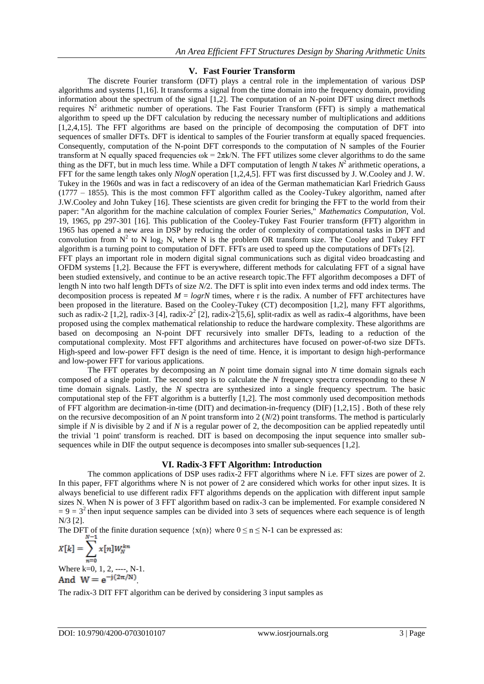## **V. Fast Fourier Transform**

The discrete Fourier transform (DFT) plays a central role in the implementation of various DSP algorithms and systems [1,16]. It transforms a signal from the time domain into the frequency domain, providing information about the spectrum of the signal [1,2]. The computation of an N-point DFT using direct methods requires  $N^2$  arithmetic number of operations. The Fast Fourier Transform (FFT) is simply a mathematical algorithm to speed up the DFT calculation by reducing the necessary number of multiplications and additions [1,2,4,15]. The FFT algorithms are based on the principle of decomposing the computation of DFT into sequences of smaller DFTs. DFT is identical to samples of the Fourier transform at equally spaced frequencies. Consequently, computation of the N-point DFT corresponds to the computation of N samples of the Fourier transform at N equally spaced frequencies  $\omega k = 2\pi k/N$ . The FFT utilizes some clever algorithms to do the same thing as the DFT, but in much less time. While a DFT computation of length *N* takes  $N^2$  arithmetic operations, a FFT for the same length takes only *NlogN* operation [1,2,4,5]. FFT was first discussed by J. W.Cooley and J. W. Tukey in the 1960s and was in fact a rediscovery of an idea of the German mathematician Karl Friedrich Gauss (1777 – 1855). This is the most common FFT algorithm called as the Cooley-Tukey algorithm, named after J.W.Cooley and John Tukey [16]. These scientists are given credit for bringing the FFT to the world from their paper: "An algorithm for the machine calculation of complex Fourier Series," *Mathematics Computation*, Vol. 19, 1965, pp 297-301 [16]. This publication of the Cooley-Tukey Fast Fourier transform (FFT) algorithm in 1965 has opened a new area in DSP by reducing the order of complexity of computational tasks in DFT and convolution from  $N^2$  to N log<sub>2</sub> N, where N is the problem OR transform size. The Cooley and Tukey FFT algorithm is a turning point to computation of DFT. FFTs are used to speed up the computations of DFTs [2]. FFT plays an important role in modern digital signal communications such as digital video broadcasting and OFDM systems [1,2]. Because the FFT is everywhere, different methods for calculating FFT of a signal have been studied extensively, and continue to be an active research topic.The FFT algorithm decomposes a DFT of length N into two half length DFTs of size *N/*2. The DFT is split into even index terms and odd index terms. The decomposition process is repeated  $M = log rN$  times, where r is the radix. A number of FFT architectures have been proposed in the literature. Based on the Cooley-Tukey (CT) decomposition [1,2], many FFT algorithms, such as radix-2 [1,2], radix-3 [4], radix-2<sup>2</sup> [2], radix-2<sup>3</sup>[5,6], split-radix as well as radix-4 algorithms, have been proposed using the complex mathematical relationship to reduce the hardware complexity. These algorithms are based on decomposing an N-point DFT recursively into smaller DFTs, leading to a reduction of the computational complexity. Most FFT algorithms and architectures have focused on power-of-two size DFTs. High-speed and low-power FFT design is the need of time. Hence, it is important to design high-performance and low-power FFT for various applications.

The FFT operates by decomposing an *N* point time domain signal into *N* time domain signals each composed of a single point. The second step is to calculate the *N* frequency spectra corresponding to these *N*  time domain signals. Lastly, the *N* spectra are synthesized into a single frequency spectrum. The basic computational step of the FFT algorithm is a butterfly [1,2]. The most commonly used decomposition methods of FFT algorithm are decimation-in-time (DIT) and decimation-in-frequency (DIF) [1,2,15] . Both of these rely on the recursive decomposition of an *N* point transform into 2 (*N*/2) point transforms. The method is particularly simple if *N* is divisible by 2 and if *N* is a regular power of 2, the decomposition can be applied repeatedly until the trivial '1 point' transform is reached. DIT is based on decomposing the input sequence into smaller subsequences while in DIF the output sequence is decomposes into smaller sub-sequences [1,2].

### **VI. Radix-3 FFT Algorithm: Introduction**

The common applications of DSP uses radix-2 FFT algorithms where N i.e. FFT sizes are power of 2. In this paper, FFT algorithms where N is not power of 2 are considered which works for other input sizes. It is always beneficial to use different radix FFT algorithms depends on the application with different input sample sizes N. When N is power of 3 FFT algorithm based on radix-3 can be implemented. For example considered N  $= 9 = 3<sup>2</sup>$  then input sequence samples can be divided into 3 sets of sequences where each sequence is of length N/3 [2].

The DFT of the finite duration sequence  $\{x(n)\}\$  where  $0 \le n \le N-1$  can be expressed as:

$$
X[k] = \sum_{n=0} x[n]W_N^{kn}
$$
  
Where k=0, 1, 2, ......, N-1.

.

The radix-3 DIT FFT algorithm can be derived by considering 3 input samples as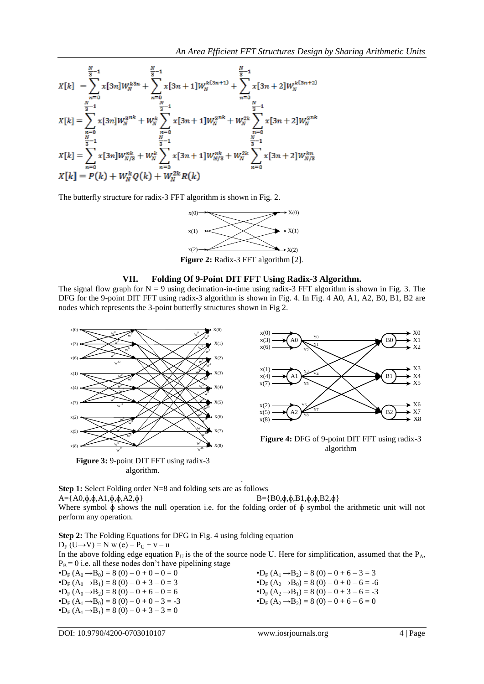$$
X[k] = \sum_{n=0}^{\frac{N}{3}-1} x[3n]W_N^{k3n} + \sum_{n=0}^{\frac{N}{3}-1} x[3n+1]W_N^{k(3n+1)} + \sum_{n=0}^{\frac{N}{3}-1} x[3n+2]W_N^{k(3n+2)}
$$
  

$$
X[k] = \sum_{n=0}^{\frac{N}{3}-1} x[3n]W_N^{3nk} + W_N^k \sum_{n=0}^{\frac{N}{3}-1} x[3n+1]W_N^{3nk} + W_N^{2k} \sum_{n=0}^{\frac{N}{3}-1} x[3n+2]W_N^{3nk}
$$
  

$$
X[k] = \sum_{n=0}^{\frac{N}{3}-1} x[3n]W_{N/3}^{nk} + W_N^k \sum_{n=0}^{\frac{N}{3}-1} x[3n+1]W_{N/3}^{nk} + W_N^{2k} \sum_{n=0}^{\frac{N}{3}-1} x[3n+2]W_{N/3}^{kn}
$$
  

$$
X[k] = P(k) + W_N^k Q(k) + W_N^{2k} R(k)
$$

The butterfly structure for radix-3 FFT algorithm is shown in Fig. 2.



**Figure 2:** Radix-3 FFT algorithm [2].

## **VII. Folding Of 9-Point DIT FFT Using Radix-3 Algorithm.**

The signal flow graph for  $N = 9$  using decimation-in-time using radix-3 FFT algorithm is shown in Fig. 3. The DFG for the 9-point DIT FFT using radix-3 algorithm is shown in Fig. 4. In Fig. 4 A0, A1, A2, B0, B1, B2 are nodes which represents the 3-point butterfly structures shown in Fig 2.



**Figure 3:** 9-point DIT FFT using radix-3 algorithm.



**Figure 4:** DFG of 9-point DIT FFT using radix-3 algorithm

**Step 1:** Select Folding order N=8 and folding sets are as follows  $A = \{A0, \phi, \phi, A1, \phi, \phi, A2, \phi\}$   $B = \{B0, \phi, \phi, B1, \phi, \phi, B2, \phi\}$ Where symbol  $\phi$  shows the null operation i.e. for the folding order of  $\phi$  symbol the arithmetic unit will not perform any operation.

.

**Step 2:** The Folding Equations for DFG in Fig. 4 using folding equation  $D_F (U \rightarrow V) = N w (e) - P_U + v - u$ In the above folding edge equation  $P_U$  is the of the source node U. Here for simplification, assumed that the  $P_A$ ,  $P_B = 0$  i.e. all these nodes don't have pipelining stage • $D_F (A_0 \rightarrow B_0) = 8 (0) - 0 + 0 - 0 = 0$  $\bullet$ **D**<sub>F</sub> (A<sub>0</sub>  $\rightarrow$ **B**<sub>1</sub>) = 8 (0) – 0 + 3 – 0 = 3 • $D_F (A_0 \rightarrow B_2) = 8 (0) - 0 + 6 - 0 = 6$  $\bullet$ D<sub>F</sub> (A<sub>1</sub>  $\rightarrow$ B<sub>2</sub>) = 8 (0) – 0 + 6 – 3 = 3 • $D_F (A_2 \rightarrow B_0) = 8 (0) - 0 + 0 - 6 = -6$ 

 $\bullet$ **D**<sub>F</sub> (A<sub>1</sub>  $\rightarrow$ B<sub>0</sub>) = 8 (0) – 0 + 0 – 3 = -3  $\bullet$ D<sub>F</sub> (A<sub>1</sub>  $\rightarrow$ B<sub>1</sub>) = 8 (0) – 0 + 3 – 3 = 0

• $D_F (A_2 \rightarrow B_1) = 8 (0) - 0 + 3 - 6 = -3$ • $D_F (A_2 \rightarrow B_2) = 8 (0) - 0 + 6 - 6 = 0$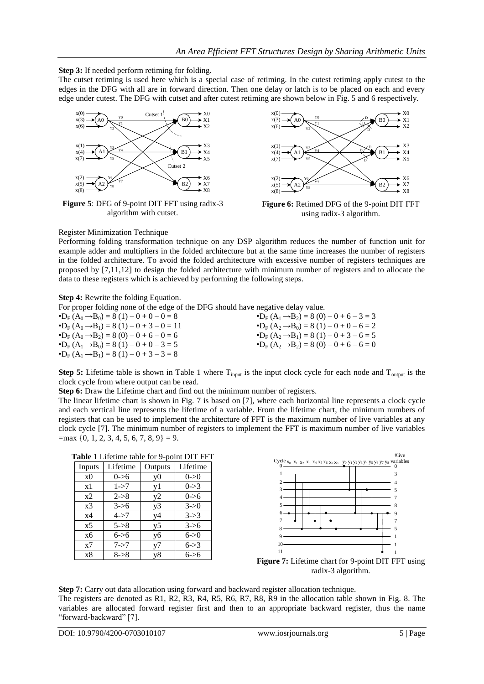## **Step 3:** If needed perform retiming for folding.

The cutset retiming is used here which is a special case of retiming. In the cutest retiming apply cutest to the edges in the DFG with all are in forward direction. Then one delay or latch is to be placed on each and every edge under cutest. The DFG with cutset and after cutest retiming are shown below in Fig. 5 and 6 respectively.



**Figure 5**: DFG of 9-point DIT FFT using radix-3 algorithm with cutset.



**Figure 6:** Retimed DFG of the 9-point DIT FFT using radix-3 algorithm.

### Register Minimization Technique

Performing folding transformation technique on any DSP algorithm reduces the number of function unit for example adder and multipliers in the folded architecture but at the same time increases the number of registers in the folded architecture. To avoid the folded architecture with excessive number of registers techniques are proposed by [7,11,12] to design the folded architecture with minimum number of registers and to allocate the data to these registers which is achieved by performing the following steps.

### **Step 4:** Rewrite the folding Equation.

For proper folding none of the edge of the DFG should have negative delay value.

| $\bullet$ D <sub>F</sub> $(A_0 \rightarrow B_0) = 8(1) - 0 + 0 - 0 = 8$                          | $\bullet$ D <sub>F</sub> $(A_1 \rightarrow B_2) = 8(0) - 0 + 6 - 3 = 3$ |
|--------------------------------------------------------------------------------------------------|-------------------------------------------------------------------------|
| $\bullet$ D <sub>E</sub> (A <sub>0</sub> $\rightarrow$ B <sub>1</sub> ) = 8 (1) – 0 + 3 – 0 = 11 | $\bullet$ D <sub>F</sub> $(A_2 \rightarrow B_0) = 8(1) - 0 + 0 - 6 = 2$ |
| $\bullet$ D <sub>F</sub> (A <sub>0</sub> $\rightarrow$ B <sub>2</sub> ) = 8 (0) – 0 + 6 – 0 = 6  | $\bullet$ D <sub>F</sub> $(A_2 \rightarrow B_1) = 8(1) - 0 + 3 - 6 = 5$ |
| $\bullet$ D <sub>E</sub> (A <sub>1</sub> $\rightarrow$ B <sub>0</sub> ) = 8 (1) – 0 + 0 – 3 = 5  | $\bullet$ D <sub>F</sub> $(A_2 \rightarrow B_2) = 8(0) - 0 + 6 - 6 = 0$ |
| $\bullet$ D <sub>F</sub> $(A_1 \rightarrow B_1) = 8(1) - 0 + 3 - 3 = 8$                          |                                                                         |

**Step 5:** Lifetime table is shown in Table 1 where  $T_{input}$  is the input clock cycle for each node and  $T_{output}$  is the clock cycle from where output can be read.

**Step 6:** Draw the Lifetime chart and find out the minimum number of registers.

The linear lifetime chart is shown in Fig. 7 is based on [7], where each horizontal line represents a clock cycle and each vertical line represents the lifetime of a variable. From the lifetime chart, the minimum numbers of registers that can be used to implement the architecture of FFT is the maximum number of live variables at any clock cycle [7]. The minimum number of registers to implement the FFT is maximum number of live variables  $=$ max {0, 1, 2, 3, 4, 5, 6, 7, 8, 9} = 9.

**Table 1** Lifetime table for 9-point DIT FFT

|                | $\frac{1}{2}$<br>PQ1111 P111 111 |         |           |  |  |  |
|----------------|----------------------------------|---------|-----------|--|--|--|
| Inputs         | Lifetime                         | Outputs | Lifetime  |  |  |  |
| x <sub>0</sub> | $0 - > 6$                        | y0      | $0\leq 0$ |  |  |  |
| x1             | $1 - > 7$                        | yl      | $0 - > 3$ |  |  |  |
| x2             | $2 - > 8$                        | y2      | $0 - > 6$ |  |  |  |
| x <sub>3</sub> | $3 - 6$                          | y3      | $3 - 50$  |  |  |  |
| x4             | $4 - > 7$                        | y4      | $3 - > 3$ |  |  |  |
| x <sub>5</sub> | $5 - > 8$                        | y5      | $3 - 56$  |  |  |  |
| x6             | $6 - > 6$                        | y6      | $6 - > 0$ |  |  |  |
| x7             | $7 - > 7$                        | v7      | $6 - > 3$ |  |  |  |
| x8             | $8 - > 8$                        | y8      | 6->6      |  |  |  |



**Figure 7:** Lifetime chart for 9-point DIT FFT using radix-3 algorithm.

**Step 7:** Carry out data allocation using forward and backward register allocation technique. The registers are denoted as R1, R2, R3, R4, R5, R6, R7, R8, R9 in the allocation table shown in Fig. 8. The variables are allocated forward register first and then to an appropriate backward register, thus the name "forward-backward" [7].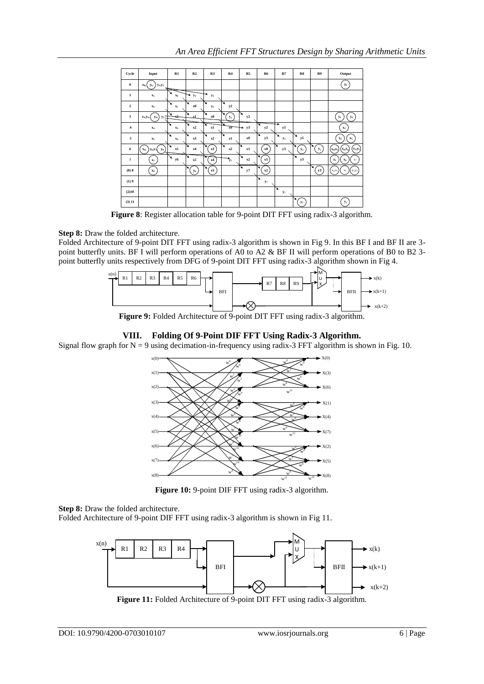| Cycle                   | Input                                                   | R1                  | R2         | R3         | R4                                   | R5      | R <sub>6</sub>      | R7                  | R8      | R9      | Output                                     |
|-------------------------|---------------------------------------------------------|---------------------|------------|------------|--------------------------------------|---------|---------------------|---------------------|---------|---------|--------------------------------------------|
| $\boldsymbol{0}$        | $y_1, y_2$<br>$y_{0}$<br>$x_0$ ,                        | ∽                   |            |            |                                      |         |                     |                     |         |         | $y_0$                                      |
| $\mathbf 1$             | $\mathbf{x}_1$                                          | ↘<br>$\mathbf{x}_0$ | ÷<br>$y_1$ | $y_2$      |                                      |         |                     |                     |         |         |                                            |
| $\overline{\mathbf{c}}$ | $\mathbf{x}_2$                                          | ↘<br>$\mathbf{x}_1$ | ↘<br>x0    | ↘<br>$y_1$ | ↘<br>y2                              |         |                     |                     |         |         |                                            |
| $\overline{\mathbf{3}}$ | X3, Y3,<br>y4,<br>y <sub>5</sub>                        | x2                  | ↘<br>v1    | ↘<br>x0    | ×<br>$y_1$                           | ↘<br>y2 |                     |                     |         |         | $\mathbf{y}_4$<br>$y_1$                    |
| $\boldsymbol{4}$        | $\mathbf{x}_4$                                          | ↘<br>$\mathbf{x}_3$ | ↘<br>x2    | ₮<br>x1    | $\overline{\mathbf{x}}$ <sub>0</sub> | y3<br>÷ | ¥<br>y2             | ÷<br>y5             |         |         | $\mathbf{x}_3$                             |
| 5                       | $\mathbf{x}_5$                                          | ↘<br>$\mathbf{x}_4$ | ↘<br>x3    | ↘<br>x2    | ↘<br>x1                              | x0      | ↘<br>y3             | ↘<br>$y_2$          | ↘<br>y5 |         | $\mathbf{x}_4$<br>$\mathbf{x}_5$           |
| 6                       | X6,<br>y <sub>s</sub><br>y <sub>6</sub> ,y <sub>7</sub> | ↘<br>x5             | ↘<br>x4    | x3         | ↘<br>x2                              | N<br>x1 | $\mathbf{x0}$       | N<br>y3             | $y_2$   | ↘<br>y5 | $y_2, y_5$<br>$x_0, x_3$<br>X6,ys          |
| $\overline{7}$          | $\mathbf{x}_7$                                          | ↘<br>y6             | ↘<br>x5    | x4         | $\mathbf{v}_7$                       | ↘<br>x2 | ↘<br>x1             |                     | ↘<br>y3 |         | $\mathbf{x}_4$<br>$x_7$<br>$\mathbf{x}_1$  |
| (0)8                    | $\mathbf{x}_\mathbf{s}$                                 |                     | $y_6$      | x5         |                                      | ↘<br>y7 | x2                  |                     |         | ↘<br>y3 | $\mathbf{x}_8$<br>$y_3, y_6$<br>$X_2, X_5$ |
| (1)9                    |                                                         |                     |            |            |                                      |         | ↘<br>$\mathbf{y}_7$ |                     |         |         |                                            |
| (2)10                   |                                                         |                     |            |            |                                      |         |                     | ↘<br>$\mathbf{y}_7$ |         |         |                                            |
| (3) 11                  |                                                         |                     |            |            |                                      |         |                     |                     | y7      |         | $\mathbf{y}_7$                             |

**Figure 8**: Register allocation table for 9-point DIT FFT using radix-3 algorithm.

# **Step 8:** Draw the folded architecture.

Folded Architecture of 9-point DIT FFT using radix-3 algorithm is shown in Fig 9. In this BF I and BF II are 3 point butterfly units. BF I will perform operations of A0 to A2 & BF II will perform operations of B0 to B2 3 point butterfly units respectively from DFG of 9-point DIT FFT using radix-3 algorithm shown in Fig 4.



**Figure 9:** Folded Architecture of 9-point DIT FFT using radix-3 algorithm.

# **VIII. Folding Of 9-Point DIF FFT Using Radix-3 Algorithm.**

Signal flow graph for  $N = 9$  using decimation-in-frequency using radix-3 FFT algorithm is shown in Fig. 10.



**Figure 10:** 9-point DIF FFT using radix-3 algorithm.

**Step 8:** Draw the folded architecture.

Folded Architecture of 9-point DIF FFT using radix-3 algorithm is shown in Fig 11.